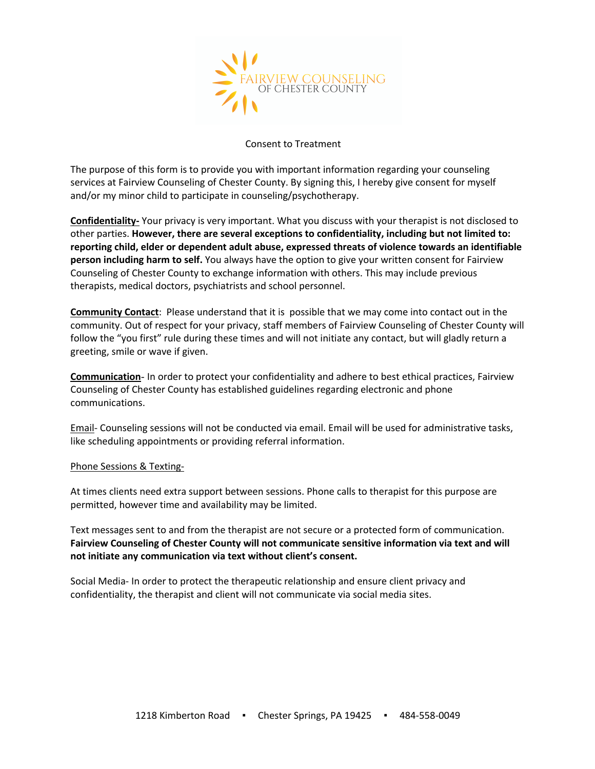

### Consent to Treatment

The purpose of this form is to provide you with important information regarding your counseling services at Fairview Counseling of Chester County. By signing this, I hereby give consent for myself and/or my minor child to participate in counseling/psychotherapy.

**Confidentiality-** Your privacy is very important. What you discuss with your therapist is not disclosed to other parties. **However, there are several exceptions to confidentiality, including but not limited to: reporting child, elder or dependent adult abuse, expressed threats of violence towards an identifiable person including harm to self.** You always have the option to give your written consent for Fairview Counseling of Chester County to exchange information with others. This may include previous therapists, medical doctors, psychiatrists and school personnel.

**Community Contact**: Please understand that it is possible that we may come into contact out in the community. Out of respect for your privacy, staff members of Fairview Counseling of Chester County will follow the "you first" rule during these times and will not initiate any contact, but will gladly return a greeting, smile or wave if given.

**Communication**- In order to protect your confidentiality and adhere to best ethical practices, Fairview Counseling of Chester County has established guidelines regarding electronic and phone communications.

Email- Counseling sessions will not be conducted via email. Email will be used for administrative tasks, like scheduling appointments or providing referral information.

#### Phone Sessions & Texting-

At times clients need extra support between sessions. Phone calls to therapist for this purpose are permitted, however time and availability may be limited.

Text messages sent to and from the therapist are not secure or a protected form of communication. **Fairview Counseling of Chester County will not communicate sensitive information via text and will not initiate any communication via text without client's consent.** 

Social Media- In order to protect the therapeutic relationship and ensure client privacy and confidentiality, the therapist and client will not communicate via social media sites.